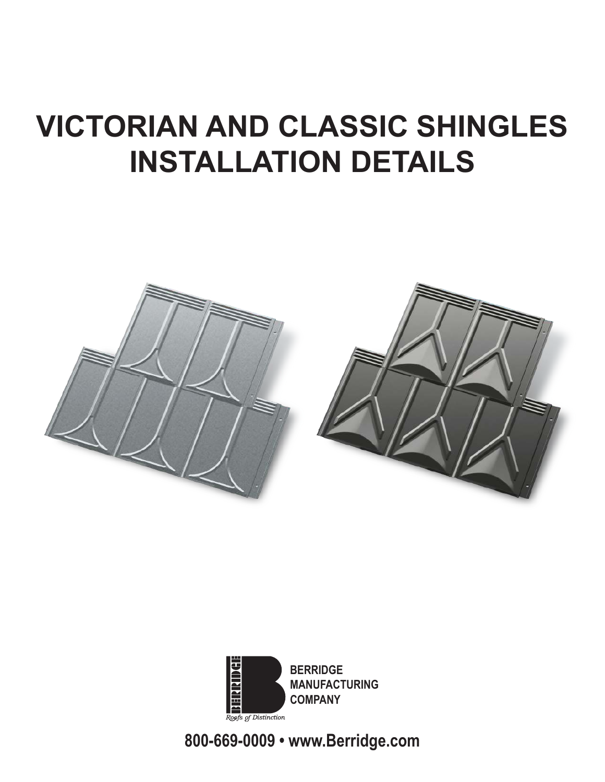## **VICTORIAN AND CLASSIC SHINGLES INSTALLATION DETAILS**





**800-669-0009 • www.Berridge.com**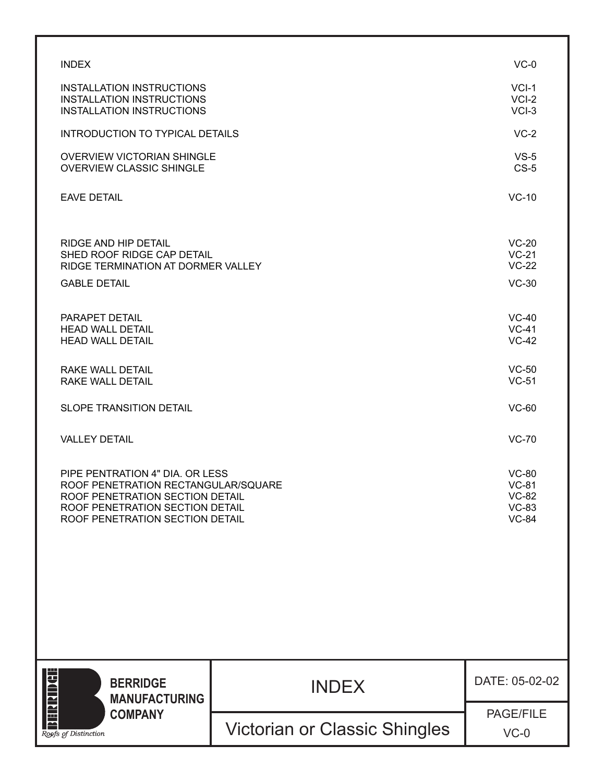| <b>COMPANY</b><br>ofs of Distinction                                                                                                                                            | <b>Victorian or Classic Shingles</b>                                         | <b>PAGE/FILE</b><br>$VC-0$               |
|---------------------------------------------------------------------------------------------------------------------------------------------------------------------------------|------------------------------------------------------------------------------|------------------------------------------|
| <b>BERKINGE</b><br><b>BERRIDGE</b><br><b>MANUFACTURING</b>                                                                                                                      | <b>INDEX</b>                                                                 | DATE: 05-02-02                           |
|                                                                                                                                                                                 |                                                                              |                                          |
| PIPE PENTRATION 4" DIA. OR LESS<br>ROOF PENETRATION RECTANGULAR/SQUARE<br>ROOF PENETRATION SECTION DETAIL<br>ROOF PENETRATION SECTION DETAIL<br>ROOF PENETRATION SECTION DETAIL | <b>VC-80</b><br><b>VC-81</b><br><b>VC-82</b><br><b>VC-83</b><br><b>VC-84</b> |                                          |
| <b>VALLEY DETAIL</b>                                                                                                                                                            | <b>VC-70</b>                                                                 |                                          |
| <b>SLOPE TRANSITION DETAIL</b>                                                                                                                                                  | $VC-60$                                                                      |                                          |
| RAKE WALL DETAIL<br>RAKE WALL DETAIL                                                                                                                                            | $VC-50$<br>$VC-51$                                                           |                                          |
| PARAPET DETAIL<br><b>HEAD WALL DETAIL</b><br><b>HEAD WALL DETAIL</b>                                                                                                            | $VC-40$<br>$VC-41$<br>$VC-42$                                                |                                          |
| RIDGE AND HIP DETAIL<br>SHED ROOF RIDGE CAP DETAIL<br>RIDGE TERMINATION AT DORMER VALLEY<br><b>GABLE DETAIL</b>                                                                 |                                                                              | $VC-20$<br>$VC-21$<br>$VC-22$<br>$VC-30$ |
| <b>EAVE DETAIL</b>                                                                                                                                                              |                                                                              | $VC-10$                                  |
| <b>OVERVIEW VICTORIAN SHINGLE</b><br><b>OVERVIEW CLASSIC SHINGLE</b>                                                                                                            | $VS-5$<br>$CS-5$                                                             |                                          |
| <b>INTRODUCTION TO TYPICAL DETAILS</b>                                                                                                                                          | $VC-2$                                                                       |                                          |
| <b>INSTALLATION INSTRUCTIONS</b><br><b>INSTALLATION INSTRUCTIONS</b><br><b>INSTALLATION INSTRUCTIONS</b>                                                                        | $VCI-1$<br>$VCI-2$<br>$VCI-3$                                                |                                          |
| <b>INDEX</b>                                                                                                                                                                    |                                                                              | $VC-0$                                   |

Ie

Roofs of Distinction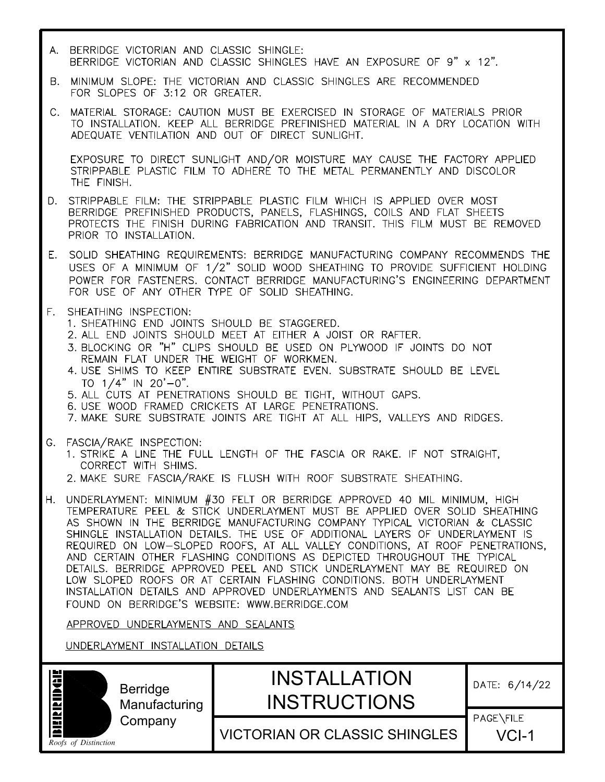- BERRIDGE VICTORIAN AND CLASSIC SHINGLE: А. BERRIDGE VICTORIAN AND CLASSIC SHINGLES HAVE AN EXPOSURE OF 9" x 12".
- B. MINIMUM SLOPE: THE VICTORIAN AND CLASSIC SHINGLES ARE RECOMMENDED FOR SLOPES OF 3:12 OR GREATER.
- C. MATERIAL STORAGE: CAUTION MUST BE EXERCISED IN STORAGE OF MATERIALS PRIOR TO INSTALLATION. KEEP ALL BERRIDGE PREFINISHED MATERIAL IN A DRY LOCATION WITH ADEQUATE VENTILATION AND OUT OF DIRECT SUNLIGHT.

EXPOSURE TO DIRECT SUNLIGHT AND/OR MOISTURE MAY CAUSE THE FACTORY APPLIED STRIPPABLE PLASTIC FILM TO ADHERE TO THE METAL PERMANENTLY AND DISCOLOR THE FINISH.

- STRIPPABLE FILM: THE STRIPPABLE PLASTIC FILM WHICH IS APPLIED OVER MOST D. BERRIDGE PREFINISHED PRODUCTS, PANELS, FLASHINGS, COILS AND FLAT SHEETS PROTECTS THE FINISH DURING FABRICATION AND TRANSIT. THIS FILM MUST BE REMOVED PRIOR TO INSTALLATION.
- E. SOLID SHEATHING REQUIREMENTS: BERRIDGE MANUFACTURING COMPANY RECOMMENDS THE USES OF A MINIMUM OF 1/2" SOLID WOOD SHEATHING TO PROVIDE SUFFICIENT HOLDING POWER FOR FASTENERS. CONTACT BERRIDGE MANUFACTURING'S ENGINEERING DEPARTMENT FOR USE OF ANY OTHER TYPE OF SOLID SHEATHING.
- F. SHEATHING INSPECTION:
	- 1. SHEATHING END JOINTS SHOULD BE STAGGERED.
	- 2. ALL END JOINTS SHOULD MEET AT EITHER A JOIST OR RAFTER.
	- 3. BLOCKING OR "H" CLIPS SHOULD BE USED ON PLYWOOD IF JOINTS DO NOT REMAIN FLAT UNDER THE WEIGHT OF WORKMEN.
	- 4. USE SHIMS TO KEEP ENTIRE SUBSTRATE EVEN. SUBSTRATE SHOULD BE LEVEL TO  $1/4$ " IN  $20' - 0$ ".
	- 5. ALL CUTS AT PENETRATIONS SHOULD BE TIGHT, WITHOUT GAPS.
	- 6. USE WOOD FRAMED CRICKETS AT LARGE PENETRATIONS.
	- 7. MAKE SURE SUBSTRATE JOINTS ARE TIGHT AT ALL HIPS, VALLEYS AND RIDGES.
- G. FASCIA/RAKE INSPECTION:
	- 1. STRIKE A LINE THE FULL LENGTH OF THE FASCIA OR RAKE. IF NOT STRAIGHT, CORRECT WITH SHIMS.
	- 2. MAKE SURE FASCIA/RAKE IS FLUSH WITH ROOF SUBSTRATE SHEATHING.
- UNDERLAYMENT: MINIMUM #30 FELT OR BERRIDGE APPROVED 40 MIL MINIMUM, HIGH H. TEMPERATURE PEEL & STICK UNDERLAYMENT MUST BE APPLIED OVER SOLID SHEATHING AS SHOWN IN THE BERRIDGE MANUFACTURING COMPANY TYPICAL VICTORIAN & CLASSIC SHINGLE INSTALLATION DETAILS. THE USE OF ADDITIONAL LAYERS OF UNDERLAYMENT IS REQUIRED ON LOW-SLOPED ROOFS, AT ALL VALLEY CONDITIONS, AT ROOF PENETRATIONS, AND CERTAIN OTHER FLASHING CONDITIONS AS DEPICTED THROUGHOUT THE TYPICAL DETAILS. BERRIDGE APPROVED PEEL AND STICK UNDERLAYMENT MAY BE REQUIRED ON LOW SLOPED ROOFS OR AT CERTAIN FLASHING CONDITIONS. BOTH UNDERLAYMENT INSTALLATION DETAILS AND APPROVED UNDERLAYMENTS AND SEALANTS LIST CAN BE FOUND ON BERRIDGE'S WEBSITE: WWW.BERRIDGE.COM

APPROVED UNDERLAYMENTS AND SEALANTS

UNDERLAYMENT INSTALLATION DETAILS

| <u>siskiskie </u><br><b>Berridge</b><br>Manufacturing<br>Company<br>Roofs of Distinction | <b>INSTALLATION</b><br><b>INSTRUCTIONS</b> | DATE: 6/14/22        |  |
|------------------------------------------------------------------------------------------|--------------------------------------------|----------------------|--|
|                                                                                          | <b>VICTORIAN OR CLASSIC SHINGLES</b>       | PAGE\FILE<br>$VCI-1$ |  |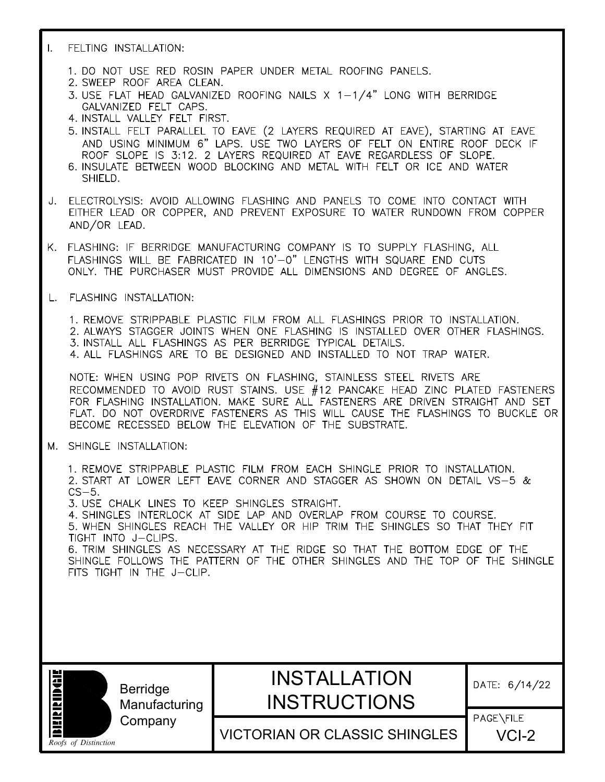- $\mathbf{L}$ FELTING INSTALLATION:
	- 1. DO NOT USE RED ROSIN PAPER UNDER METAL ROOFING PANELS.
	- 2. SWEEP ROOF AREA CLEAN.
	- 3. USE FLAT HEAD GALVANIZED ROOFING NAILS X 1-1/4" LONG WITH BERRIDGE GALVANIZED FELT CAPS.
	- 4. INSTALL VALLEY FELT FIRST.
	- 5. INSTALL FELT PARALLEL TO EAVE (2 LAYERS REQUIRED AT EAVE), STARTING AT EAVE AND USING MINIMUM 6" LAPS. USE TWO LAYERS OF FELT ON ENTIRE ROOF DECK IF ROOF SLOPE IS 3:12. 2 LAYERS REQUIRED AT EAVE REGARDLESS OF SLOPE.
	- 6. INSULATE BETWEEN WOOD BLOCKING AND METAL WITH FELT OR ICE AND WATER SHIELD.
- ELECTROLYSIS: AVOID ALLOWING FLASHING AND PANELS TO COME INTO CONTACT WITH J. EITHER LEAD OR COPPER, AND PREVENT EXPOSURE TO WATER RUNDOWN FROM COPPER  $AND/OR$  LEAD.
- K. FLASHING: IF BERRIDGE MANUFACTURING COMPANY IS TO SUPPLY FLASHING, ALL FLASHINGS WILL BE FABRICATED IN 10'-0" LENGTHS WITH SQUARE END CUTS ONLY. THE PURCHASER MUST PROVIDE ALL DIMENSIONS AND DEGREE OF ANGLES.
- L. FLASHING INSTALLATION:

1. REMOVE STRIPPABLE PLASTIC FILM FROM ALL FLASHINGS PRIOR TO INSTALLATION. 2. ALWAYS STAGGER JOINTS WHEN ONE FLASHING IS INSTALLED OVER OTHER FLASHINGS. 3. INSTALL ALL FLASHINGS AS PER BERRIDGE TYPICAL DETAILS. 4. ALL FLASHINGS ARE TO BE DESIGNED AND INSTALLED TO NOT TRAP WATER.

NOTE: WHEN USING POP RIVETS ON FLASHING, STAINLESS STEEL RIVETS ARE RECOMMENDED TO AVOID RUST STAINS. USE #12 PANCAKE HEAD ZINC PLATED FASTENERS FOR FLASHING INSTALLATION. MAKE SURE ALL FASTENERS ARE DRIVEN STRAIGHT AND SET FLAT. DO NOT OVERDRIVE FASTENERS AS THIS WILL CAUSE THE FLASHINGS TO BUCKLE OR BECOME RECESSED BELOW THE ELEVATION OF THE SUBSTRATE.

M. SHINGLE INSTALLATION:

1. REMOVE STRIPPABLE PLASTIC FILM FROM EACH SHINGLE PRIOR TO INSTALLATION. 2. START AT LOWER LEFT EAVE CORNER AND STAGGER AS SHOWN ON DETAIL VS-5 &  $CS-5.$ 

3. USE CHALK LINES TO KEEP SHINGLES STRAIGHT.

4. SHINGLES INTERLOCK AT SIDE LAP AND OVERLAP FROM COURSE TO COURSE.

5. WHEN SHINGLES REACH THE VALLEY OR HIP TRIM THE SHINGLES SO THAT THEY FIT TIGHT INTO J-CLIPS.

6. TRIM SHINGLES AS NECESSARY AT THE RIDGE SO THAT THE BOTTOM EDGE OF THE SHINGLE FOLLOWS THE PATTERN OF THE OTHER SHINGLES AND THE TOP OF THE SHINGLE FITS TIGHT IN THE J-CLIP.



Berridge Manufacturing Company

## INSTALLATION DATE: 6/14/22 INSTRUCTIONS

**Property of Distinction**<br>Roofs of Distinction

PAGE\FILE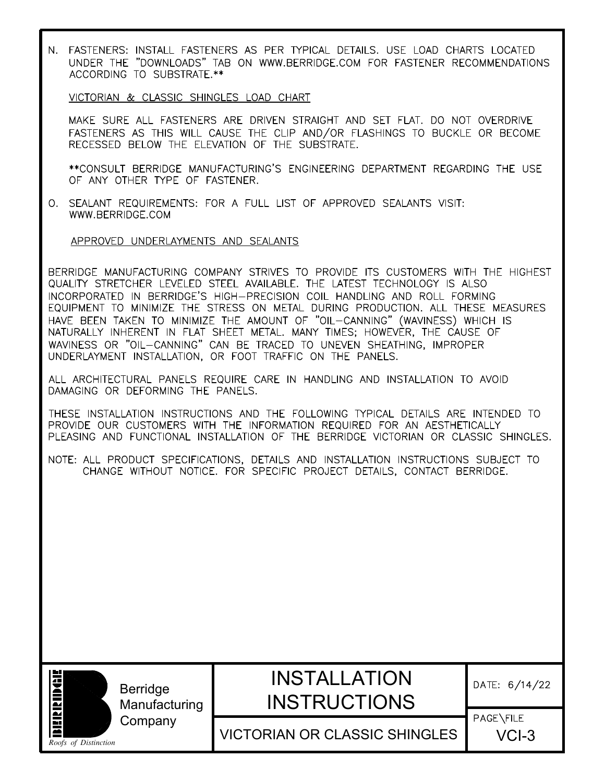FASTENERS: INSTALL FASTENERS AS PER TYPICAL DETAILS. USE LOAD CHARTS LOCATED N. UNDER THE "DOWNLOADS" TAB ON WWW.BERRIDGE.COM FOR FASTENER RECOMMENDATIONS ACCORDING TO SUBSTRATE.\*\*

VICTORIAN & CLASSIC SHINGLES LOAD CHART

MAKE SURE ALL FASTENERS ARE DRIVEN STRAIGHT AND SET FLAT. DO NOT OVERDRIVE FASTENERS AS THIS WILL CAUSE THE CLIP AND/OR FLASHINGS TO BUCKLE OR BECOME RECESSED BELOW THE ELEVATION OF THE SUBSTRATE.

\*\*CONSULT BERRIDGE MANUFACTURING'S ENGINEERING DEPARTMENT REGARDING THE USE OF ANY OTHER TYPE OF FASTENER.

O. SEALANT REQUIREMENTS: FOR A FULL LIST OF APPROVED SEALANTS VISIT: WWW.BERRIDGE.COM

## APPROVED UNDERLAYMENTS AND SEALANTS

BERRIDGE MANUFACTURING COMPANY STRIVES TO PROVIDE ITS CUSTOMERS WITH THE HIGHEST QUALITY STRETCHER LEVELED STEEL AVAILABLE. THE LATEST TECHNOLOGY IS ALSO INCORPORATED IN BERRIDGE'S HIGH-PRECISION COIL HANDLING AND ROLL FORMING EQUIPMENT TO MINIMIZE THE STRESS ON METAL DURING PRODUCTION. ALL THESE MEASURES HAVE BEEN TAKEN TO MINIMIZE THE AMOUNT OF "OIL-CANNING" (WAVINESS) WHICH IS NATURALLY INHERENT IN FLAT SHEET METAL. MANY TIMES; HOWEVER, THE CAUSE OF WAVINESS OR "OIL-CANNING" CAN BE TRACED TO UNEVEN SHEATHING, IMPROPER UNDERLAYMENT INSTALLATION, OR FOOT TRAFFIC ON THE PANELS.

ALL ARCHITECTURAL PANELS REQUIRE CARE IN HANDLING AND INSTALLATION TO AVOID DAMAGING OR DEFORMING THE PANELS.

THESE INSTALLATION INSTRUCTIONS AND THE FOLLOWING TYPICAL DETAILS ARE INTENDED TO PROVIDE OUR CUSTOMERS WITH THE INFORMATION REQUIRED FOR AN AESTHETICALLY PLEASING AND FUNCTIONAL INSTALLATION OF THE BERRIDGE VICTORIAN OR CLASSIC SHINGLES.

NOTE: ALL PRODUCT SPECIFICATIONS, DETAILS AND INSTALLATION INSTRUCTIONS SUBJECT TO CHANGE WITHOUT NOTICE. FOR SPECIFIC PROJECT DETAILS, CONTACT BERRIDGE.



Berridge Manufacturing Company

## INSTALLATION **DATE:** 6/14/22 INSTRUCTIONS

**Particle in the UCLASSIC SHINGLES** VCI-3

PAGE\FILE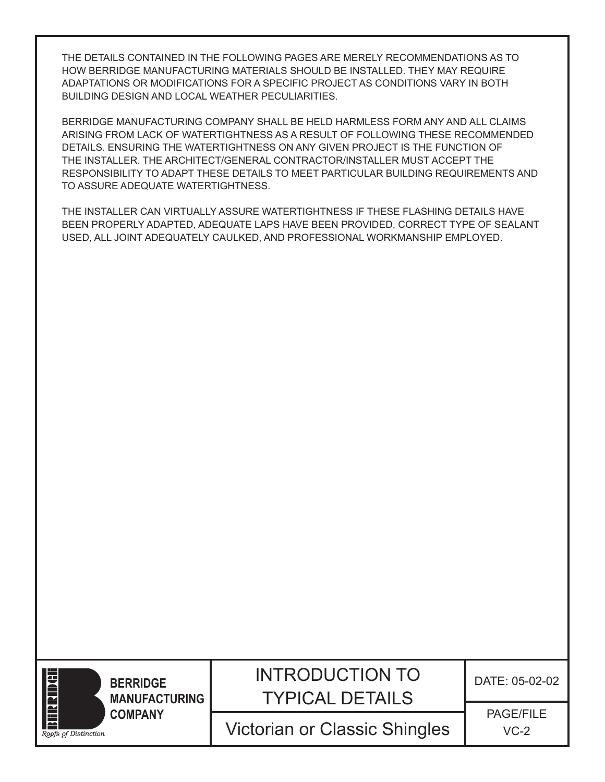THE DETAILS CONTAINED IN THE FOLLOWING PAGES ARE MERELY RECOMMENDATIONS AS TO HOW BERRIDGE MANUFACTURING MATERIALS SHOULD BE INSTALLED. THEY MAY REQUIRE ADAPTATIONS OR MODIFICATIONS FOR A SPECIFIC PROJECT AS CONDITIONS VARY IN BOTH BUILDING DESIGN AND LOCAL WEATHER PECULIARITIES.

BERRIDGE MANUFACTURING COMPANY SHALL BE HELD HARMLESS FORM ANY AND ALL CLAIMS ARISING FROM LACK OF WATERTIGHTNESS AS A RESULT OF FOLLOWING THESE RECOMMENDED DETAILS. ENSURING THE WATERTIGHTNESS ON ANY GIVEN PROJECT IS THE FUNCTION OF THE INSTALLER. THE ARCHITECT/GENERAL CONTRACTOR/INSTALLER MUST ACCEPT THE RESPONSIBILITY TO ADAPT THESE DETAILS TO MEET PARTICULAR BUILDING REQUIREMENTS AND TO ASSURE ADEQUATE WATERTIGHTNESS.

THE INSTALLER CAN VIRTUALLY ASSURE WATERTIGHTNESS IF THESE FLASHING DETAILS HAVE BEEN PROPERLY ADAPTED, ADEQUATE LAPS HAVE BEEN PROVIDED, CORRECT TYPE OF SEALANT USED, ALL JOINT ADEQUATELY CAULKED, AND PROFESSIONAL WORKMANSHIP EMPLOYED.



**BERRIDGE MANUFACTURING COMPANY**

INTRODUCTION TO TYPICAL DETAILS

DATE: 05-02-02

Victorian or Classic Shingles

PAGE/FILE

VC-2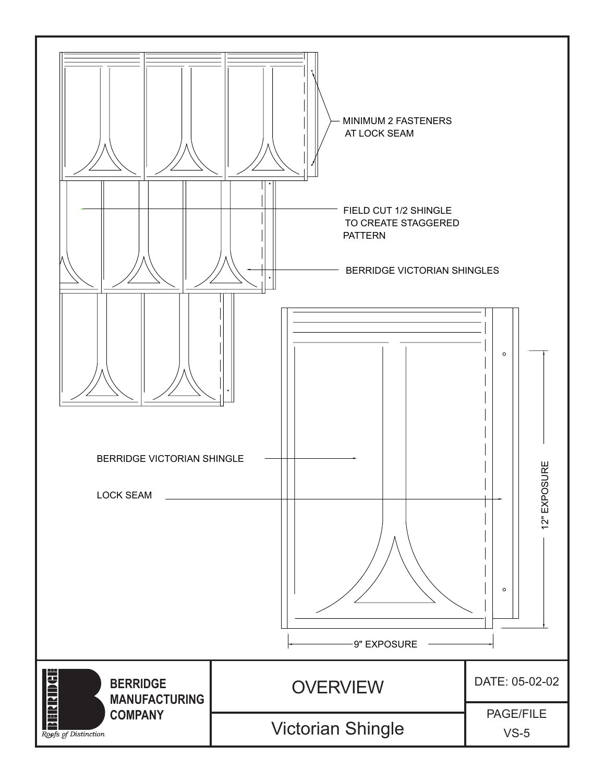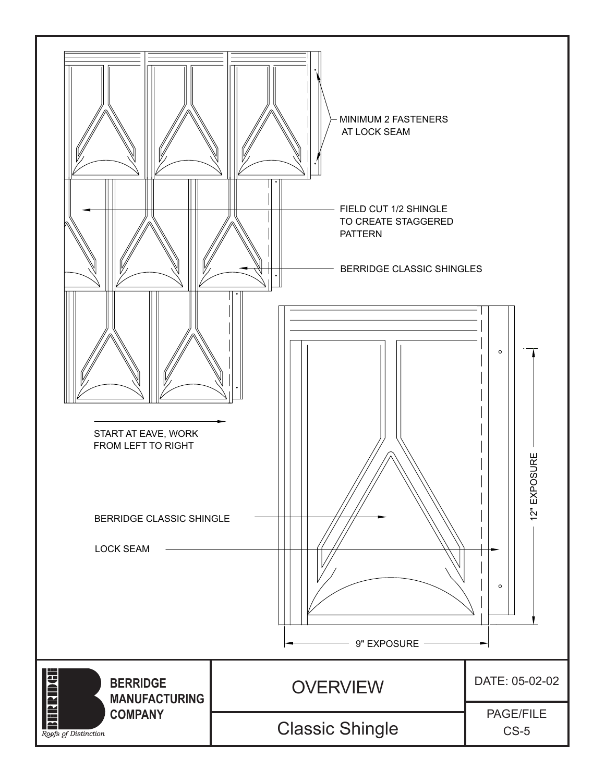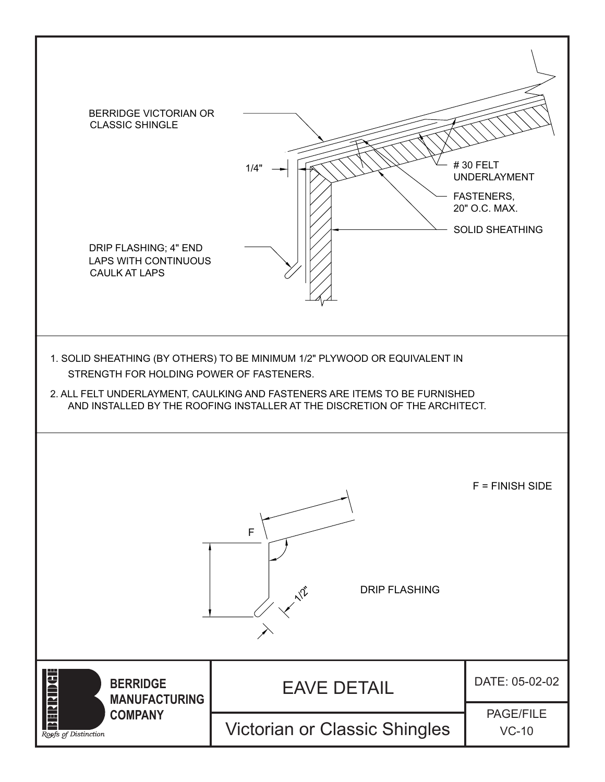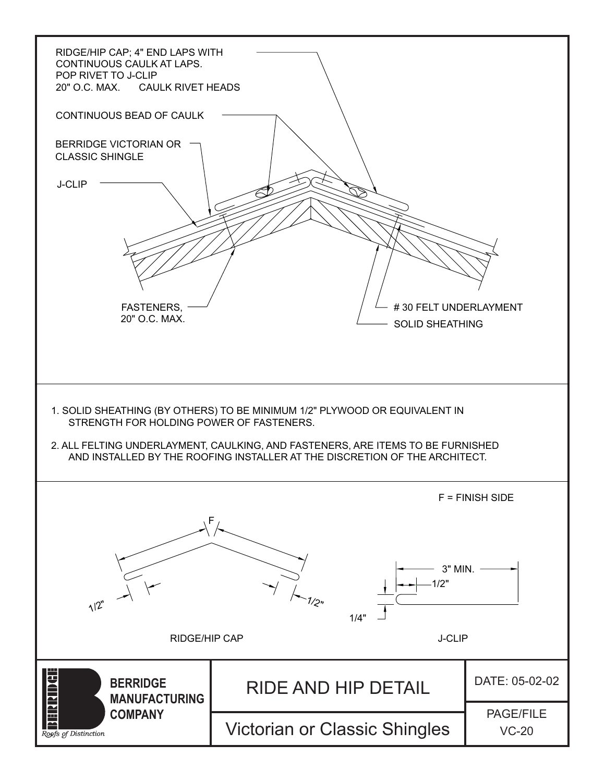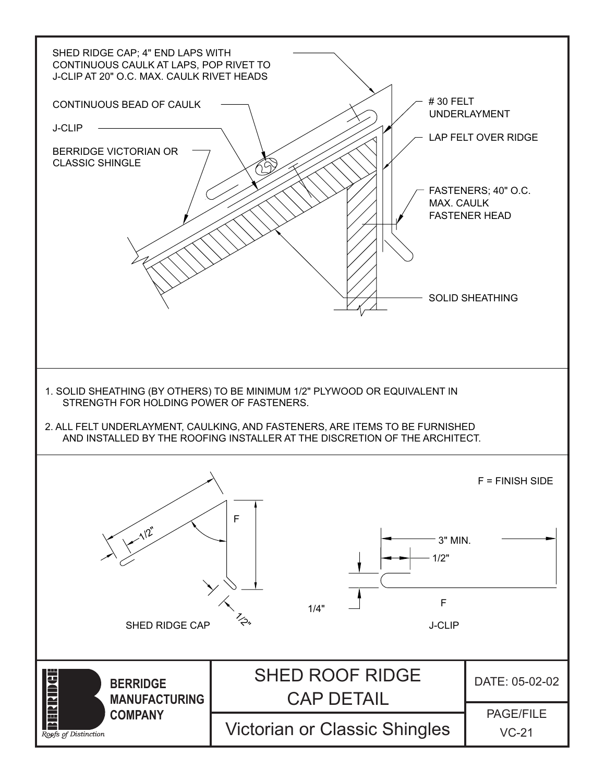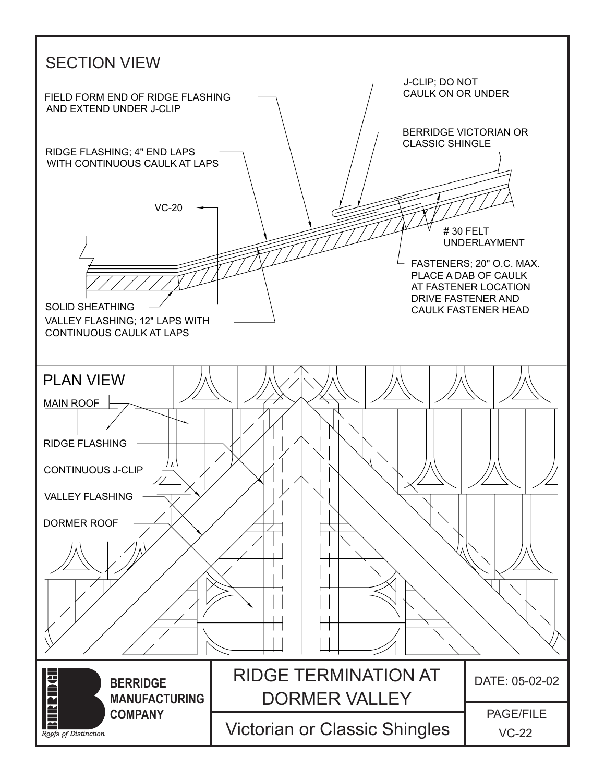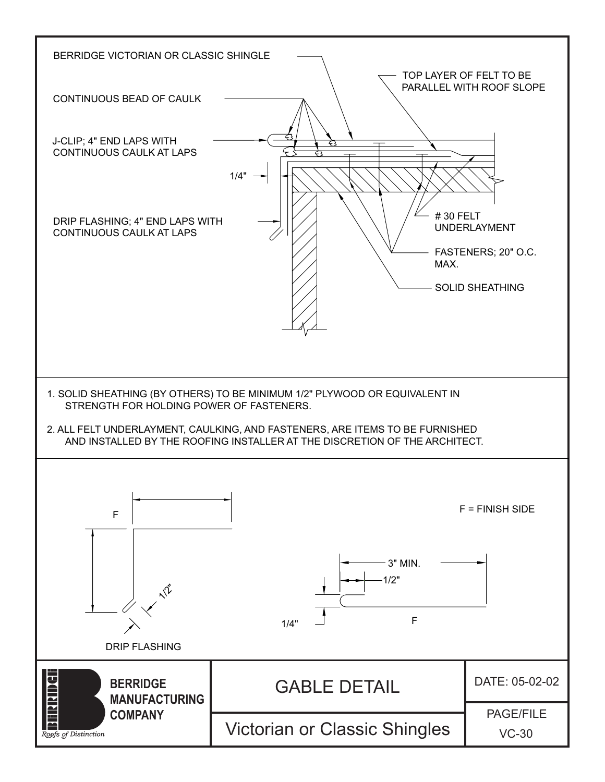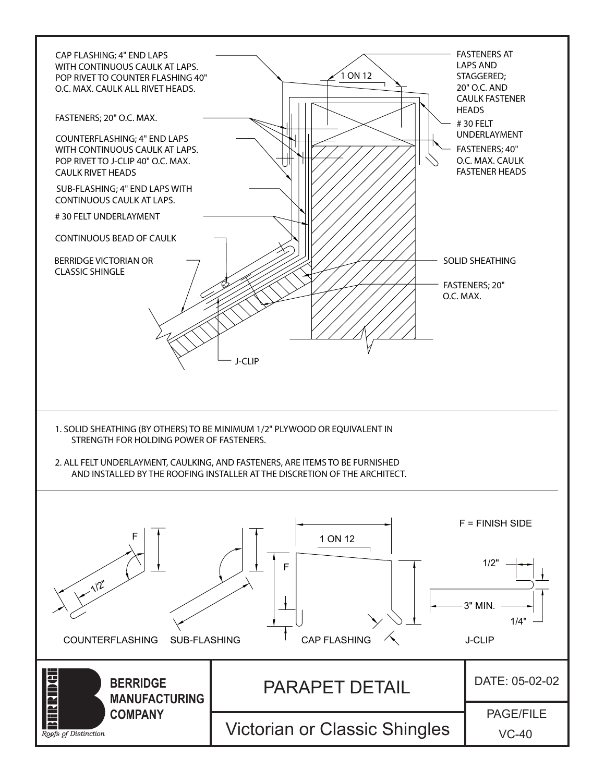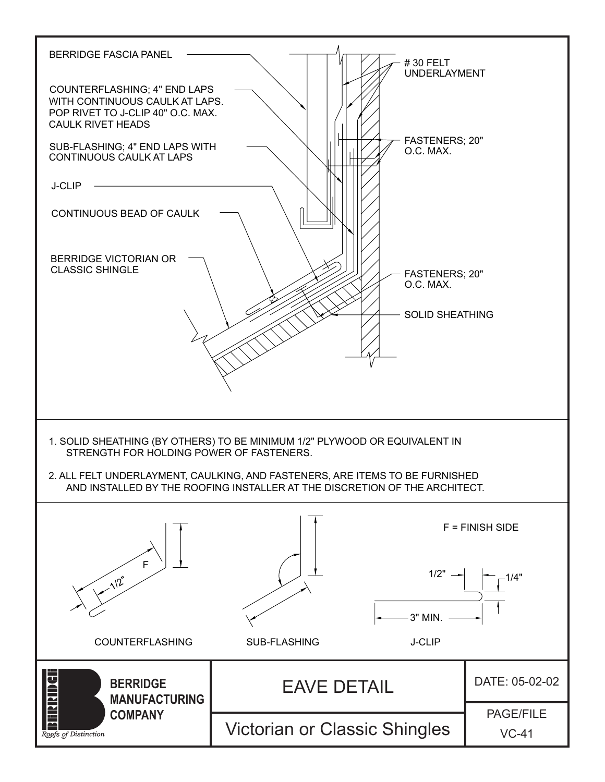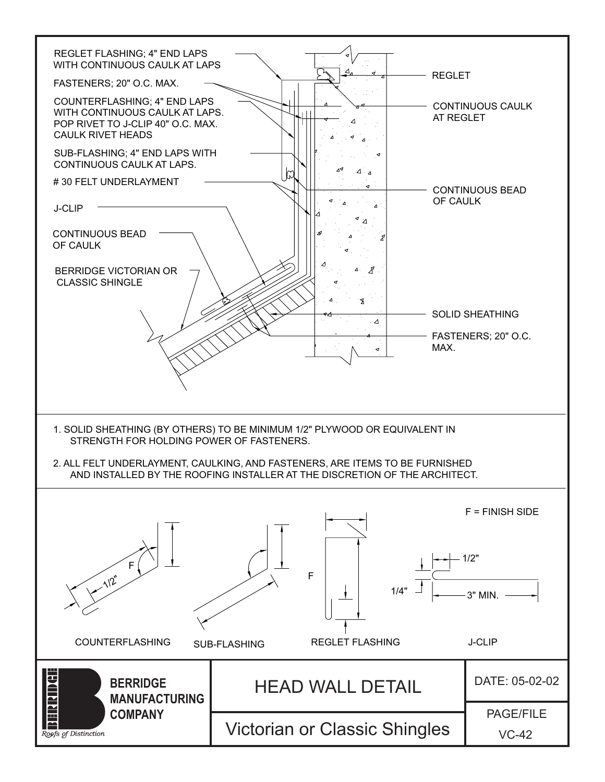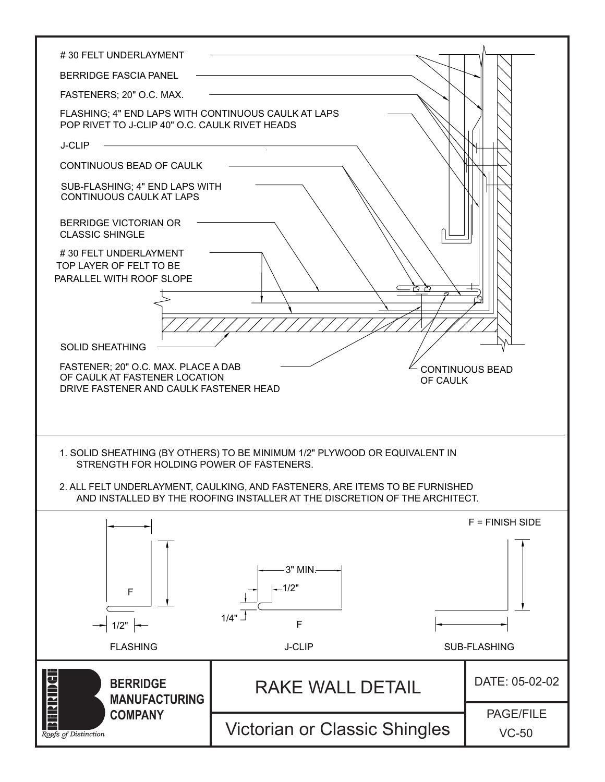| #30 FELT UNDERLAYMENT                                                                                                                                                                                                                                                                |                                      |          |                             |  |  |
|--------------------------------------------------------------------------------------------------------------------------------------------------------------------------------------------------------------------------------------------------------------------------------------|--------------------------------------|----------|-----------------------------|--|--|
| <b>BERRIDGE FASCIA PANEL</b>                                                                                                                                                                                                                                                         |                                      |          |                             |  |  |
| FASTENERS; 20" O.C. MAX.                                                                                                                                                                                                                                                             |                                      |          |                             |  |  |
| FLASHING; 4" END LAPS WITH CONTINUOUS CAULK AT LAPS<br>POP RIVET TO J-CLIP 40" O.C. CAULK RIVET HEADS                                                                                                                                                                                |                                      |          |                             |  |  |
| J-CLIP                                                                                                                                                                                                                                                                               |                                      |          |                             |  |  |
| CONTINUOUS BEAD OF CAULK                                                                                                                                                                                                                                                             |                                      |          |                             |  |  |
| SUB-FLASHING; 4" END LAPS WITH<br><b>CONTINUOUS CAULK AT LAPS</b>                                                                                                                                                                                                                    |                                      |          |                             |  |  |
| <b>BERRIDGE VICTORIAN OR</b><br><b>CLASSIC SHINGLE</b>                                                                                                                                                                                                                               |                                      |          |                             |  |  |
| #30 FELT UNDERLAYMENT<br>TOP LAYER OF FELT TO BE<br>PARALLEL WITH ROOF SLOPE                                                                                                                                                                                                         |                                      | ري ري    |                             |  |  |
|                                                                                                                                                                                                                                                                                      |                                      |          |                             |  |  |
| <b>SOLID SHEATHING</b>                                                                                                                                                                                                                                                               |                                      |          |                             |  |  |
| FASTENER; 20" O.C. MAX. PLACE A DAB<br>OF CAULK AT FASTENER LOCATION<br>DRIVE FASTENER AND CAULK FASTENER HEAD                                                                                                                                                                       |                                      | OF CAULK | <b>CONTINUOUS BEAD</b>      |  |  |
| 1. SOLID SHEATHING (BY OTHERS) TO BE MINIMUM 1/2" PLYWOOD OR EQUIVALENT IN<br>STRENGTH FOR HOLDING POWER OF FASTENERS.<br>2. ALL FELT UNDERLAYMENT, CAULKING, AND FASTENERS, ARE ITEMS TO BE FURNISHED<br>AND INSTALLED BY THE ROOFING INSTALLER AT THE DISCRETION OF THE ARCHITECT. |                                      |          |                             |  |  |
|                                                                                                                                                                                                                                                                                      |                                      |          | $F = FINISH$ SIDE           |  |  |
| F                                                                                                                                                                                                                                                                                    | 3" MIN.-<br>$-1/2"$                  |          |                             |  |  |
| 1/2"                                                                                                                                                                                                                                                                                 | 1/4"<br>F                            |          |                             |  |  |
| <b>FLASHING</b>                                                                                                                                                                                                                                                                      | <b>J-CLIP</b>                        |          | SUB-FLASHING                |  |  |
| <b>ESPERADOR</b><br><b>BERRIDGE</b><br><b>MANUFACTURING</b><br><b>COMPANY</b>                                                                                                                                                                                                        | <b>RAKE WALL DETAIL</b>              |          | DATE: 05-02-02              |  |  |
|                                                                                                                                                                                                                                                                                      | <b>Victorian or Classic Shingles</b> |          | <b>PAGE/FILE</b><br>$VC-50$ |  |  |
| Roofs of Distinction                                                                                                                                                                                                                                                                 |                                      |          |                             |  |  |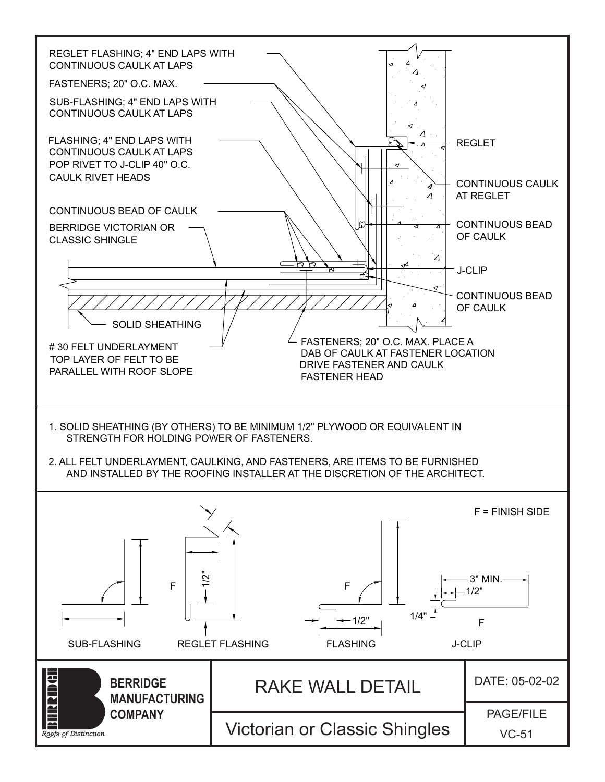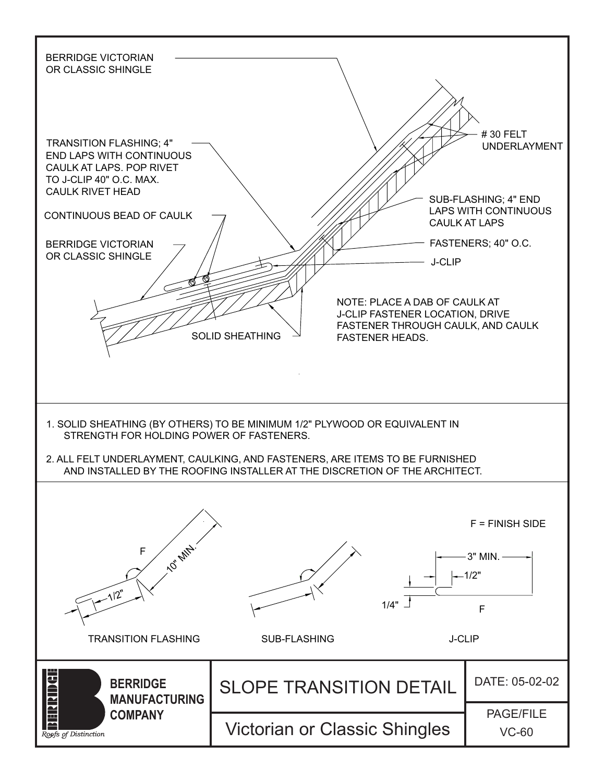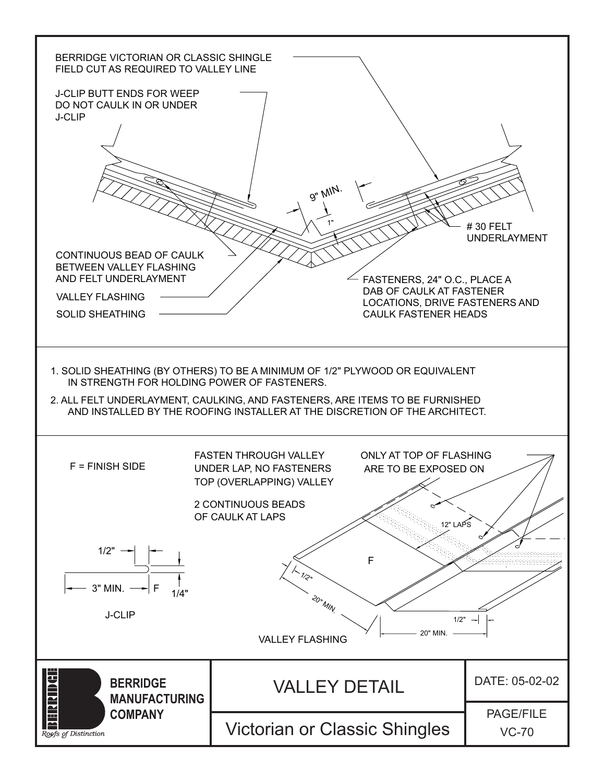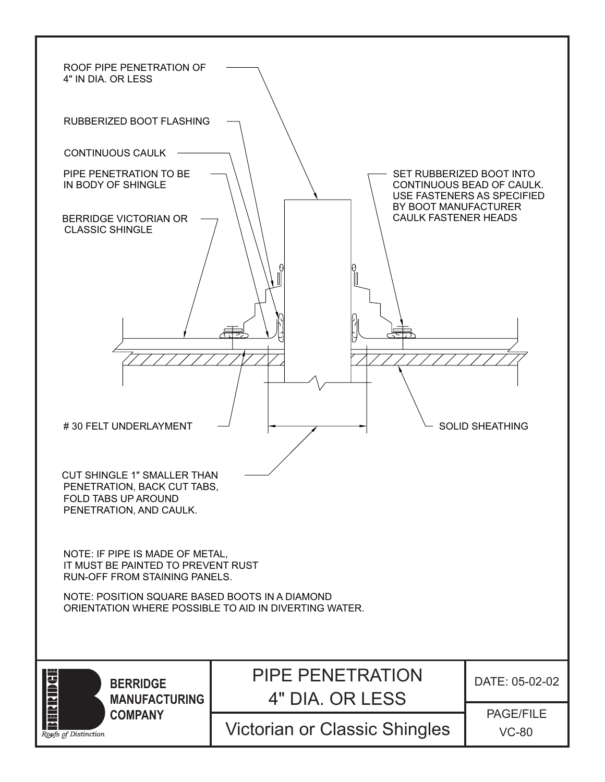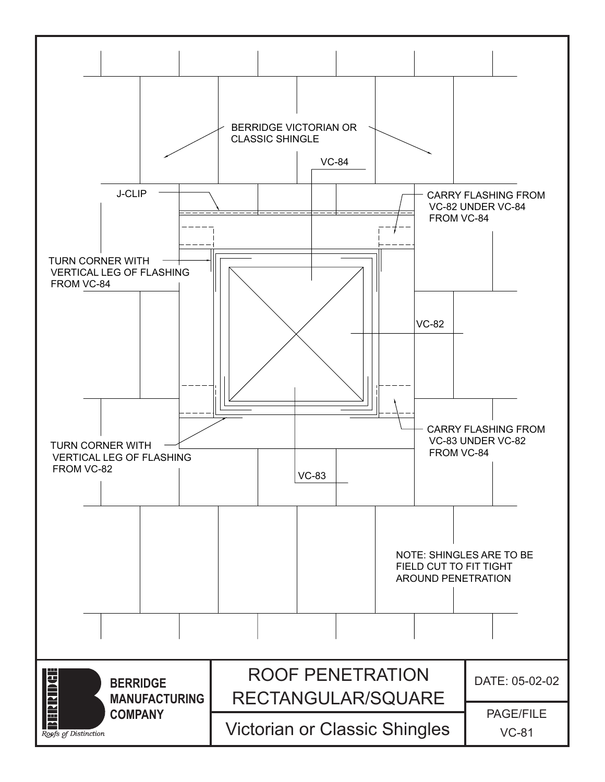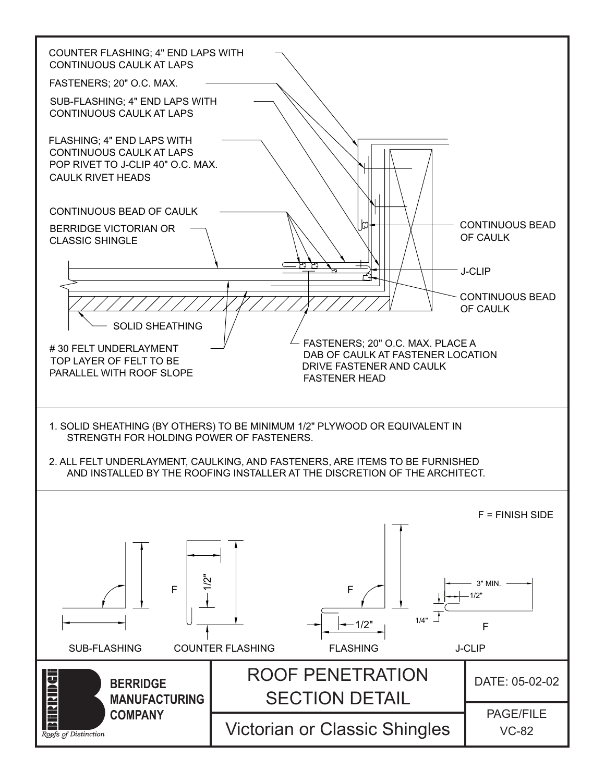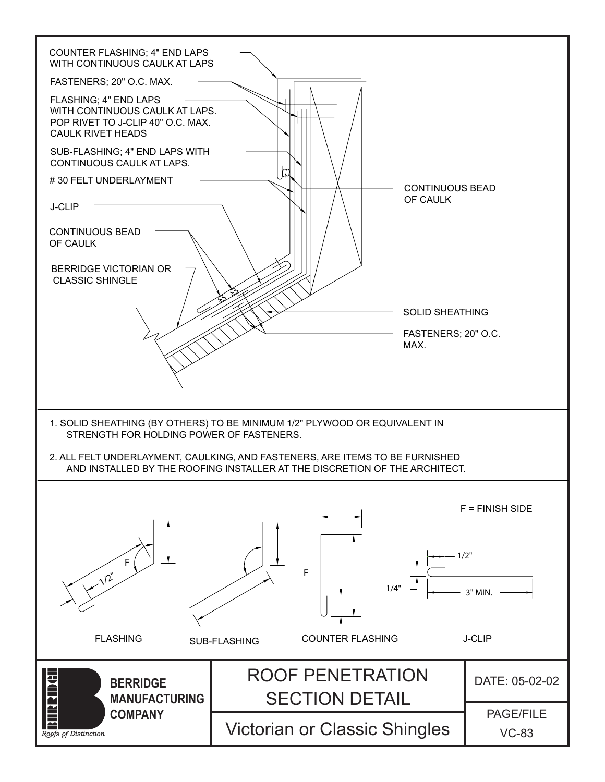